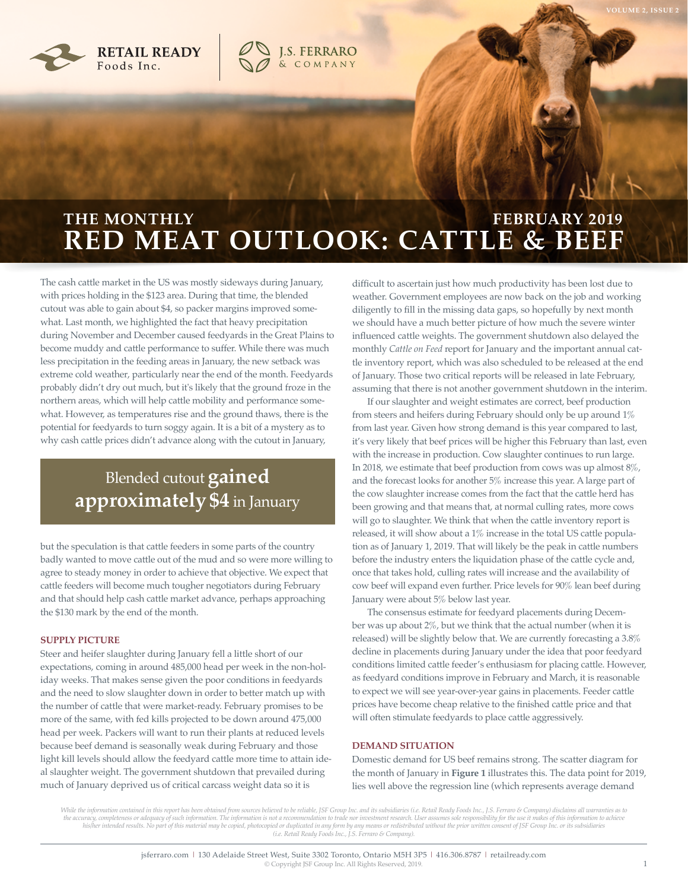



# **RED MEAT OUTLOOK: CATTLE & BEEF THE MONTHLY EXAMPLE THE MONTHLY AND READ FEBRUARY 2019**

**J.S. FERRARO**<br>& COMPANY

The cash cattle market in the US was mostly sideways during January, with prices holding in the \$123 area. During that time, the blended cutout was able to gain about \$4, so packer margins improved somewhat. Last month, we highlighted the fact that heavy precipitation during November and December caused feedyards in the Great Plains to become muddy and cattle performance to suffer. While there was much less precipitation in the feeding areas in January, the new setback was extreme cold weather, particularly near the end of the month. Feedyards probably didn't dry out much, but it's likely that the ground froze in the northern areas, which will help cattle mobility and performance somewhat. However, as temperatures rise and the ground thaws, there is the potential for feedyards to turn soggy again. It is a bit of a mystery as to why cash cattle prices didn't advance along with the cutout in January,

## Blended cutout **gained approximately \$4** in January

but the speculation is that cattle feeders in some parts of the country badly wanted to move cattle out of the mud and so were more willing to agree to steady money in order to achieve that objective. We expect that cattle feeders will become much tougher negotiators during February and that should help cash cattle market advance, perhaps approaching the \$130 mark by the end of the month.

### **SUPPLY PICTURE**

Steer and heifer slaughter during January fell a little short of our expectations, coming in around 485,000 head per week in the non-holiday weeks. That makes sense given the poor conditions in feedyards and the need to slow slaughter down in order to better match up with the number of cattle that were market-ready. February promises to be more of the same, with fed kills projected to be down around 475,000 head per week. Packers will want to run their plants at reduced levels because beef demand is seasonally weak during February and those light kill levels should allow the feedyard cattle more time to attain ideal slaughter weight. The government shutdown that prevailed during much of January deprived us of critical carcass weight data so it is

difficult to ascertain just how much productivity has been lost due to weather. Government employees are now back on the job and working diligently to fill in the missing data gaps, so hopefully by next month we should have a much better picture of how much the severe winter influenced cattle weights. The government shutdown also delayed the monthly *Cattle on Feed* report for January and the important annual cattle inventory report, which was also scheduled to be released at the end of January. Those two critical reports will be released in late February, assuming that there is not another government shutdown in the interim.

If our slaughter and weight estimates are correct, beef production from steers and heifers during February should only be up around 1% from last year. Given how strong demand is this year compared to last, it's very likely that beef prices will be higher this February than last, even with the increase in production. Cow slaughter continues to run large. In 2018, we estimate that beef production from cows was up almost 8%, and the forecast looks for another 5% increase this year. A large part of the cow slaughter increase comes from the fact that the cattle herd has been growing and that means that, at normal culling rates, more cows will go to slaughter. We think that when the cattle inventory report is released, it will show about a 1% increase in the total US cattle population as of January 1, 2019. That will likely be the peak in cattle numbers before the industry enters the liquidation phase of the cattle cycle and, once that takes hold, culling rates will increase and the availability of cow beef will expand even further. Price levels for 90% lean beef during January were about 5% below last year.

The consensus estimate for feedyard placements during December was up about 2%, but we think that the actual number (when it is released) will be slightly below that. We are currently forecasting a 3.8% decline in placements during January under the idea that poor feedyard conditions limited cattle feeder's enthusiasm for placing cattle. However, as feedyard conditions improve in February and March, it is reasonable to expect we will see year-over-year gains in placements. Feeder cattle prices have become cheap relative to the finished cattle price and that will often stimulate feedyards to place cattle aggressively.

### **DEMAND SITUATION**

Domestic demand for US beef remains strong. The scatter diagram for the month of January in **Figure 1** illustrates this. The data point for 2019, lies well above the regression line (which represents average demand

While the information contained in this report has been obtained from sources believed to be reliable, JSF Group Inc. and its subsidiaries (i.e. Retail Ready Foods Inc., J.S. Ferraro & Company) disclaims all warranties as the accuracy, completeness or adequacy of such information. The information is not a recommendation to trade nor investment research. User assumes sole responsibility for the use it makes of this information to achieve his/her intended results. No part of this material may be copied, photocopied or duplicated in any form by any means or redistributed without the prior written consent of JSF Group Inc. or its subsidiaries (i.e. Retail Rea

**VOLUME 2, ISSUE 2**